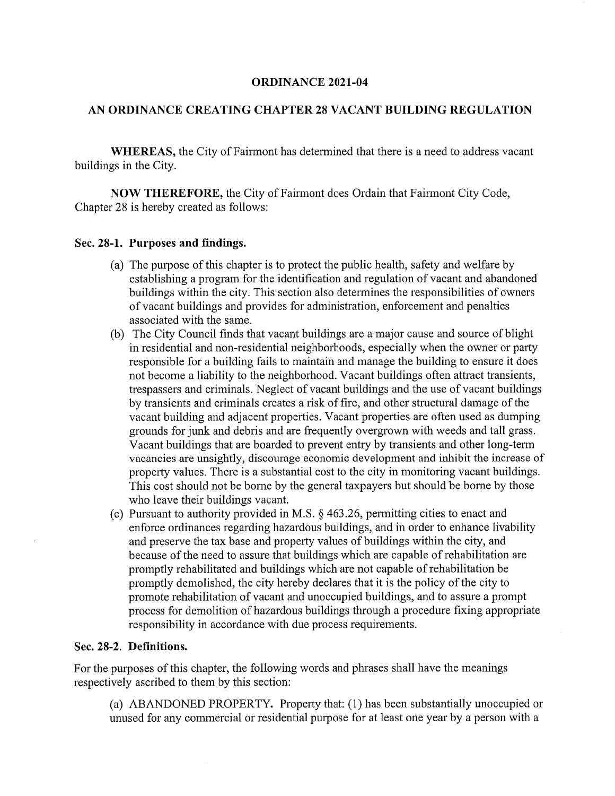#### ORDINANCE 2021-04

#### AN ORDINANCE CREATING CHAPTER 28 VACANT BUILDING REGULATION

WHEREAS, the City of Fairmont has determined that there is a need to address vacant buildings in the City.

NOW THEREFORE, the City of Fairmont does Ordain that Fairmont City Code, Chapter 28 is hereby created as follows:

#### Sec. 28-1. Purposes and findings.

- (a) The purpose of this chapter is to protect the public health, safety and welfare by establishing a program for the identification and regulation of vacant and abandoned buildings within the city. This section also determines the responsibilities of owners of vacant buildings and provides for administration, enforcement and penalties associated with the same.
- (b) The City Council finds that vacant buildings are a major cause and source of blight in residential and non-residential neighborhoods, especially when the owner or party responsible for a building fails to maintain and manage the building to ensure it does not become a liability to the neighborhood. Vacant buildings often attract transients, trespassers and criminals. Neglect of vacant buildings and the use of vacant buildings by transients and criminals creates a risk of fire, and other structural damage of the vacant building and adjacent properties. Vacant properties are often used as dumping grounds for junk and debris and are frequently overgrown with weeds and tall grass. Vacant buildings that are boarded to prevent entry by transients and other long-term vacancies are unsightly, discourage economic development and inhibit the increase of property values. There is a substantial cost to the city in monitoring vacant buildings. This cost should not be borne by the general taxpayers but should be borne by those who leave their buildings vacant.
- (c) Pursuant to authority provided in M.S. § 463.26, permitting cities to enact and enforce ordinances regarding hazardous buildings, and in order to enhance livability and preserve the tax base and property values of buildings within the city, and because of the need to assure that buildings which are capable of rehabilitation are promptly rehabilitated and buildings which are not capable of rehabilitation be promptly demolished, the city hereby declares that it is the policy of the city to promote rehabilitation of vacant and unoccupied buildings, and to assure a prompt process for demolition of hazardous buildings through a procedure fixing appropriate responsibility in accordance with due process requirements.

#### Sec. 28-2. Definitions.

For the purposes of this chapter, the following words and phrases shall have the meanings respectively ascribed to them by this section:

(a) ABANDONED PROPERTY. Property that: (1) has been substantially unoccupied or unused for any commercial or residential purpose for at least one year by a person with a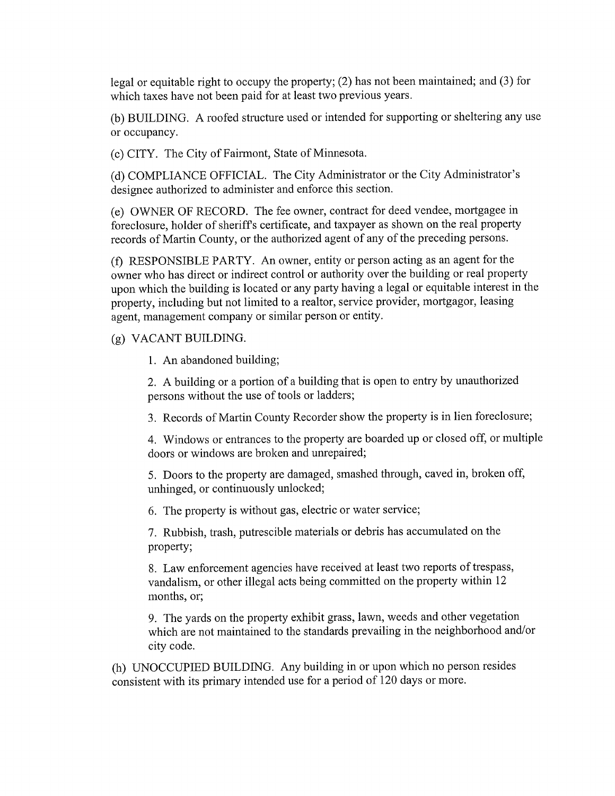legal or equitable right to occupy the property; (2) has not been maintained; and (3) for which taxes have not been paid for at least two previous years.

(b) BUILDING. A roofed structure used or intended for supporting or sheltering any use or occupancy.

(c) CITY. The City of Fairmont, State of Minnesota.

(d) COMPLIANCE OFFICIAL. The City Administrator or the City Administrator's designee authorized to administer and enforce this section.

(e) OWNER OF RECORD. The fee owner, contract for deed vendee, mortgagee in foreclosure, holder of sheriffs certificate, and taxpayer as shown on the real property records of Martin County, or the authorized agent of any of the preceding persons.

(f) RESPONSIBLE PARTY. An owner, entity or person acting as an agent for the owner who has direct or indirect control or authority over the building or real property upon which the building is located or any party having a legal or equitable interest in the property, including but not limited to a realtor, service provider, mortgagor, leasing agent, management company or similar person or entity.

## (g) VACANT BUILDING.

1. An abandoned building;

2. A building or a portion of a building that is open to entry by unauthorized persons without the use of tools or ladders;

3. Records of Martin County Recorder show the property is in lien foreclosure;

4. Windows or entrances to the property are boarded up or closed off, or multiple doors or windows are broken and unrepaired;

5. Doors to the property are damaged, smashed through, caved in, broken off, unhinged, or continuously unlocked;

6. The property is without gas, electric or water service;

7. Rubbish, trash, putrescible materials or debris has accumulated on the property;

8. Law enforcement agencies have received at least two reports of trespass, vandalism, or other illegal acts being committed on the property within 12 months, or;

9. The yards on the property exhibit grass, lawn, weeds and other vegetation which are not maintained to the standards prevailing in the neighborhood and/or city code.

(h) UNOCCUPIED BUILDING. Any building in or upon which no person resides consistent with its primary intended use for a period of 120 days or more.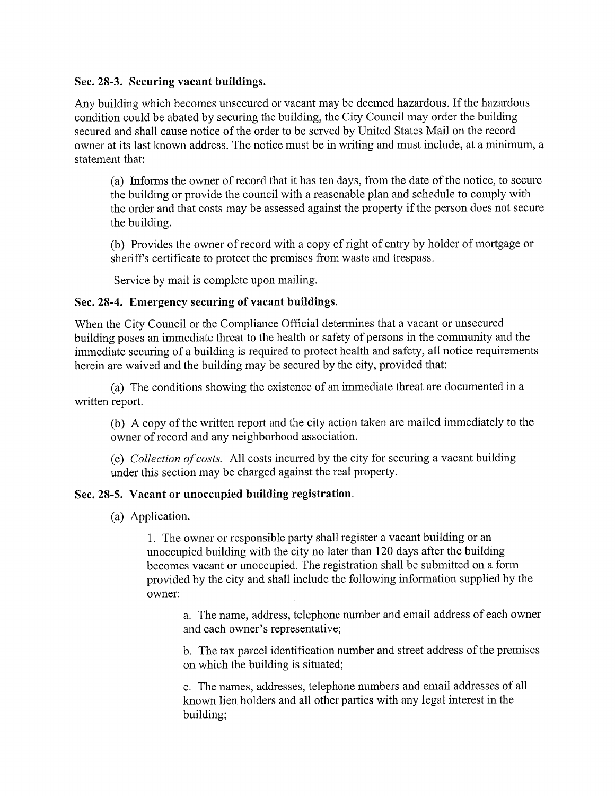## Sec. 28-3. Securing vacant buildings.

Any building which becomes unsecured or vacant may be deemed hazardous. If the hazardous condition could be abated by securing the building, the City Council may order the building secured and shall cause notice of the order to be served by United States Mail on the record owner at its last known address. The notice must be in writing and must include, at a minimum, a statement that:

(a) Informs the owner of record that it has ten days, from the date of the notice, to secure the building or provide the council with a reasonable plan and schedule to comply with the order and that costs may be assessed against the property if the person does not secure the building.

(b) Provides the owner of record with a copy of right of entry by holder of mortgage or sheriffs certificate to protect the premises from waste and trespass.

Service by mail is complete upon mailing.

# Sec. 28-4. Emergency securing of vacant buildings.

When the City Council or the Compliance Official determines that a vacant or unsecured building poses an immediate threat to the health or safety of persons in the community and the immediate securing of a building is required to protect health and safety, all notice requirements herein are waived and the building may be secured by the city, provided that:

(a) The conditions showing the existence of an immediate threat are documented in a written report.

(b) A copy of the written report and the city action taken are mailed immediately to the owner of record and any neighborhood association.

(c) Collection of costs. All costs incurred by the city for securing a vacant building under this section may be charged against the real property.

## Sec. 28-5. Vacant or unoccupied building registration.

(a) Application.

1. The owner or responsible party shall register a vacant building or an unoccupied building with the city no later than 120 days after the building becomes vacant or unoccupied. The registration shall be submitted on a form provided by the city and shall include the following information supplied by the owner:

a. The name, address, telephone number and email address of each owner and each owner's representative;

b. The tax parcel identification number and street address of the premises on which the building is situated;

c. The names, addresses, telephone numbers and email addresses of all known lien holders and all other parties with any legal interest in the building;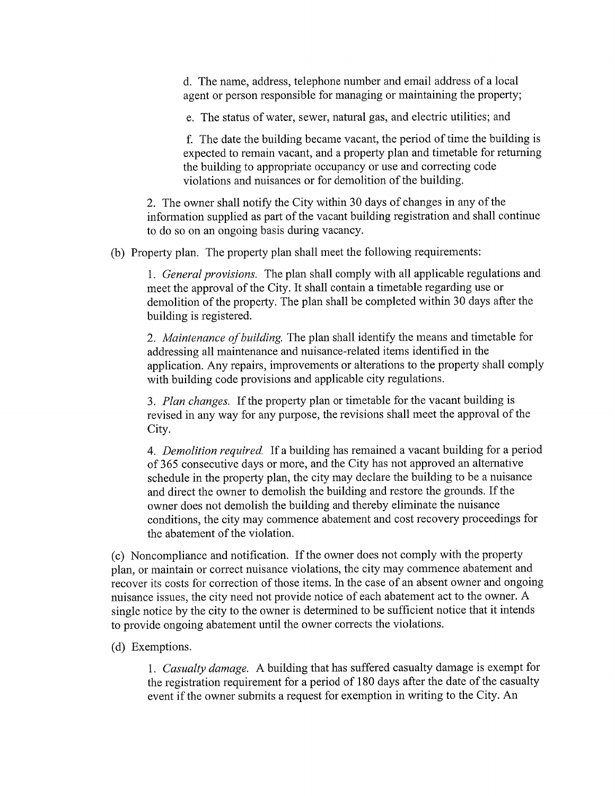d. The name, address, telephone number and email address of a local agent or person responsible for managing or maintaining the property;

e. The status of water, sewer, natural gas, and electric utilities; and

f. The date the building became vacant, the period of time the building is expected to remain vacant, and a property plan and timetable for returning the building to appropriate occupancy or use and correcting code violations and nuisances or for demolition of the building.

2. The owner shall notify the City within 30 days of changes in any of the information supplied as part of the vacant building registration and shall continue to do so on an ongoing basis during vacancy.

(b) Property plan. The property plan shall meet the following requirements:

1. *General provisions*. The plan shall comply with all applicable regulations and meet the approval of the City. It shall contain a timetable regarding use or demolition of the property. The plan shall be completed within 30 days after the building is registered.

2. Maintenance of building. The plan shall identify the means and timetable for addressing all maintenance and nuisance-related items identified in the application. Any repairs, improvements or alterations to the property shall comply with building code provisions and applicable city regulations.

3. Plan changes. If the property plan or timetable for the vacant building is revised in any way for any purpose, the revisions shall meet the approval of the City.

4. Demolition required. If a building has remained a vacant building for a period of 365 consecutive days or more, and the City has not approved an alternative schedule in the property plan, the city may declare the building to be a nuisance and direct the owner to demolish the building and restore the grounds. If the owner does not demolish the building and thereby eliminate the nuisance conditions, the city may commence abatement and cost recovery proceedings for the abatement of the violation.

(c) Noncompliance and notification. If the owner does not comply with the property plan, or maintain or correct nuisance violations, the city may commence abatement and recover its costs for correction of those items. In the case of an absent owner and ongoing nuisance issues, the city need not provide notice of each abatement act to the owner. A single notice by the city to the owner is determined to be sufficient notice that it intends to provide ongoing abatement until the owner corrects the violations.

## (d) Exemptions.

1. Casualty damage. A building that has suffered casualty damage is exempt for the registration requirement for a period of 180 days after the date of the casualty event if the owner submits a request for exemption in writing to the City. An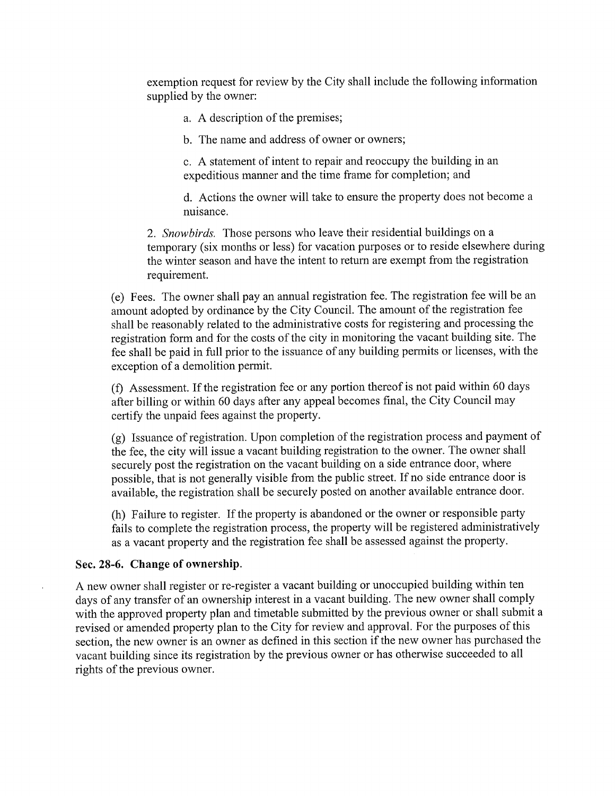exemption request for review by the City shall include the following information supplied by the owner:

a. A description of the premises;

b. The name and address of owner or owners;

c. A statement of intent to repair and reoccupy the building in an expeditions manner and the time frame for completion; and

d. Actions the owner will take to ensure the property does not become a nuisance.

2. Snowbirds. Those persons who leave their residential buildings on a temporary (six months or less) for vacation purposes or to reside elsewhere during the winter season and have the intent to return are exempt from the registration requirement.

(e) Fees. The owner shall pay an annual registration fee. The registration fee will be an amount adopted by ordinance by the City Council. The amount of the registration fee shall be reasonably related to the administrative costs for registering and processing the registration form and for the costs of the city in monitoring the vacant building site. The fee shall be paid in full prior to the issuance of any building permits or licenses, with the exception of a demolition permit.

(f) Assessment. If the registration fee or any portion thereof is not paid within 60 days after billing or within 60 days after any appeal becomes final, the City Council may certify the unpaid fees against the property.

(g) Issuance of registration. Upon completion of the registration process and payment of the fee, the city will issue a vacant building registration to the owner. The owner shall securely post the registration on the vacant building on a side entrance door, where possible, that is not generally visible from the public street. If no side entrance door is available, the registration shall be securely posted on another available entrance door.

(h) Failure to register. If the property is abandoned or the owner or responsible party fails to complete the registration process, the property will be registered administratively as a vacant property and the registration fee shall be assessed against the property.

## Sec. 28-6. Change of ownership.

 $\ddot{\phantom{a}}$ 

A new owner shall register or re-register a vacant building or unoccupied building within ten days of any transfer of an ownership interest in a vacant building. The new owner shall comply with the approved property plan and timetable submitted by the previous owner or shall submit a revised or amended property plan to the City for review and approval. For the purposes of this section, the new owner is an owner as defined in this section if the new owner has purchased the vacant building since its registration by the previous owner or has otherwise succeeded to all rights of the previous owner.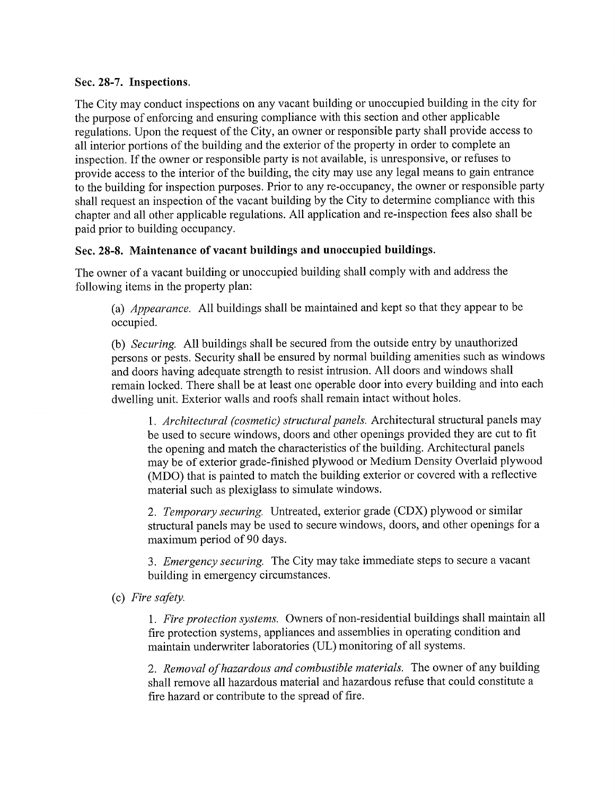# Sec. 28-7. Inspections.

The City may conduct inspections on any vacant building or unoccupied building in the city for the purpose of enforcing and ensuring compliance with this section and other applicable regulations. Upon the request of the City, an owner or responsible party shall provide access to all interior portions of the building and the exterior of the property in order to complete an inspection. If the owner or responsible party is not available, is unresponsive, or refuses to provide access to the interior of the building, the city may use any legal means to gain entrance to the building for inspection purposes. Prior to any re-occupancy, the owner or responsible party shall request an inspection of the vacant building by the City to determine compliance with this chapter and all other applicable regulations. All application and re-inspection fees also shall be paid prior to building occupancy.

# Sec. 28-8. Maintenance of vacant buildings and unoccupied buildings.

The owner of a vacant building or unoccupied building shall comply with and address the following items in the property plan:

(a) Appearance. All buildings shall be maintained and kept so that they appear to be occupied.

(b) Securing. All buildings shall be secured from the outside entry by unauthorized persons or pests. Security shall be ensured by normal building amenities such as windows and doors having adequate strength to resist intrusion. All doors and windows shall remain locked. There shall be at least one operable door into every building and into each dwelling unit. Exterior walls and roofs shall remain intact without holes.

1. Architectural (cosmetic) structural panels. Architectural structural panels may be used to secure windows, doors and other openings provided they are cut to fit the opening and match the characteristics of the building. Architectural panels may be of exterior grade-finished plywood or Medium Density Overlaid plywood (MDO) that is painted to match the building exterior or covered with a reflective material such as plexiglass to simulate windows.

2. Temporary securing. Untreated, exterior grade (CDX) plywood or similar structural panels may be used to secure windows, doors, and other openings for a maximum period of 90 days.

3. Emergency securing. The City may take immediate steps to secure a vacant building in emergency circumstances.

(c) Fire safety.

1. Fire protection systems. Owners of non-residential buildings shall maintain all fire protection systems, appliances and assemblies in operating condition and maintain underwriter laboratories (UL) monitoring of all systems.

2. Removal of hazardous and combustible materials. The owner of any building shall remove all hazardous material and hazardous refuse that could constitute a fire hazard or contribute to the spread of fire.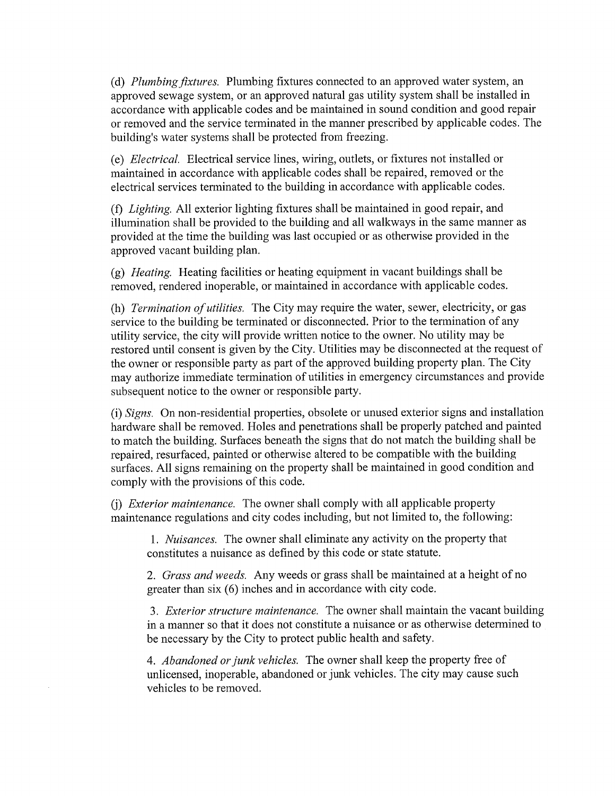(d) Plumbing fixtures. Plumbing fixtures connected to an approved water system, an approved sewage system, or an approved natural gas utility system shall be installed in accordance with applicable codes and be maintained in sound condition and good repair or removed and the service terminated in the manner prescribed by applicable codes. The building's water systems shall be protected from freezing.

(e) Electrical. Electrical service lines, wiring, outlets, or fixtures not installed or maintained in accordance with applicable codes shall be repaired, removed or the electrical services terminated to the building in accordance with applicable codes.

(f) Lighting. All exterior lighting fixtures shall be maintained in good repair, and illumination shall be provided to the building and all walkways in the same manner as provided at the time the building was last occupied or as otherwise provided in the approved vacant building plan.

(g) Heating. Heating facilities or heating equipment in vacant buildings shall be removed, rendered inoperable, or maintained in accordance with applicable codes.

(h) *Termination of utilities*. The City may require the water, sewer, electricity, or gas service to the building be terminated or disconnected. Prior to the termination of any utility service, the city will provide written notice to the owner. No utility may be restored until consent is given by the City. Utilities may be disconnected at the request of the owner or responsible party as part of the approved building property plan. The City may authorize immediate termination of utilities in emergency circumstances and provide subsequent notice to the owner or responsible party.

(i) Signs. On non-residential properties, obsolete or unused exterior signs and installation hardware shall be removed. Holes and penetrations shall be properly patched and painted to match the building. Surfaces beneath the signs that do not match the building shall be repaired, resurfaced, painted or otherwise altered to be compatible with the building surfaces. All signs remaining on the property shall be maintained in good condition and comply with the provisions of this code.

(j) Exterior maintenance. The owner shall comply with all applicable property maintenance regulations and city codes including, but not limited to, the following:

1. Nuisances. The owner shall eliminate any activity on the property that constitutes a nuisance as defined by this code or state statute.

2. Grass and weeds. Any weeds or grass shall be maintained at a height of no greater than six (6) inches and in accordance with city code.

3. Exterior structure maintenance. The owner shall maintain the vacant building in a manner so that it does not constitute a nuisance or as otherwise determined to be necessary by the City to protect public health and safety.

4. Abandoned or junk vehicles. The owner shall keep the property free of unlicensed, inoperable, abandoned or junk vehicles. The city may cause such vehicles to be removed.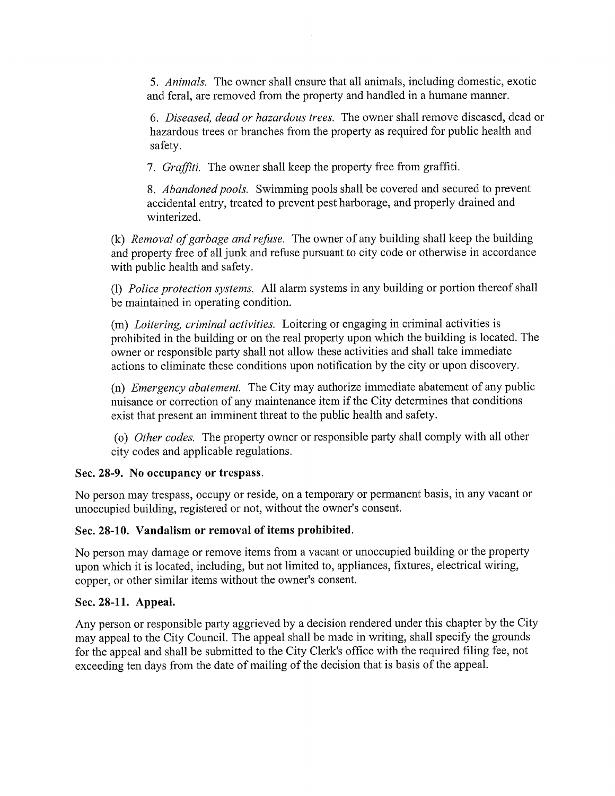5. Animals. The owner shall ensure that all animals, including domestic, exotic and feral, are removed from the property and handled in a humane manner.

6. Diseased, dead or hazardous trees. The owner shall remove diseased, dead or hazardous trees or branches from the property as required for public health and safety.

7. Graffiti. The owner shall keep the property free from graffiti.

8. Abandoned pools. Swimming pools shall be covered and secured to prevent accidental entry, treated to prevent pest harborage, and properly drained and winterized.

(k) Removal of garbage and refuse. The owner of any building shall keep the building and property free of all junk and refuse pursuant to city code or otherwise in accordance with public health and safety.

(1) Police protection systems. All alarm systems in any building or portion thereof shall be maintained in operating condition.

(m) Loitering, criminal activities. Loitering or engaging in criminal activities is prohibited in the building or on the real property upon which the building is located. The owner or responsible party shall not allow these activities and shall take immediate actions to eliminate these conditions upon notification by the city or upon discovery.

(n) Emergency abatement. The City may authorize immediate abatement of any public nuisance or correction of any maintenance item if the City determines that conditions exist that present an imminent threat to the public health and safety.

(o) Other codes. The property owner or responsible party shall comply with all other city codes and applicable regulations.

## Sec. 28-9. No occupancy or trespass.

No person may trespass, occupy or reside, on a temporary or permanent basis, in any vacant or unoccupied building, registered or not, without the owner's consent.

## Sec. 28-10. Vandalism or removal of items prohibited.

No person may damage or remove items from a vacant or unoccupied building or the property upon which it is located, including, but not limited to, appliances, fixtures, electrical wiring, copper, or other similar items without the owner's consent.

## Sec. 28-11. Appeal.

Any person or responsible party aggrieved by a decision rendered under this chapter by the City may appeal to the City Council. The appeal shall be made in writing, shall specify the grounds for the appeal and shall be submitted to the City Clerk's office with the required filing fee, not exceeding ten days from the date of mailing of the decision that is basis of the appeal.